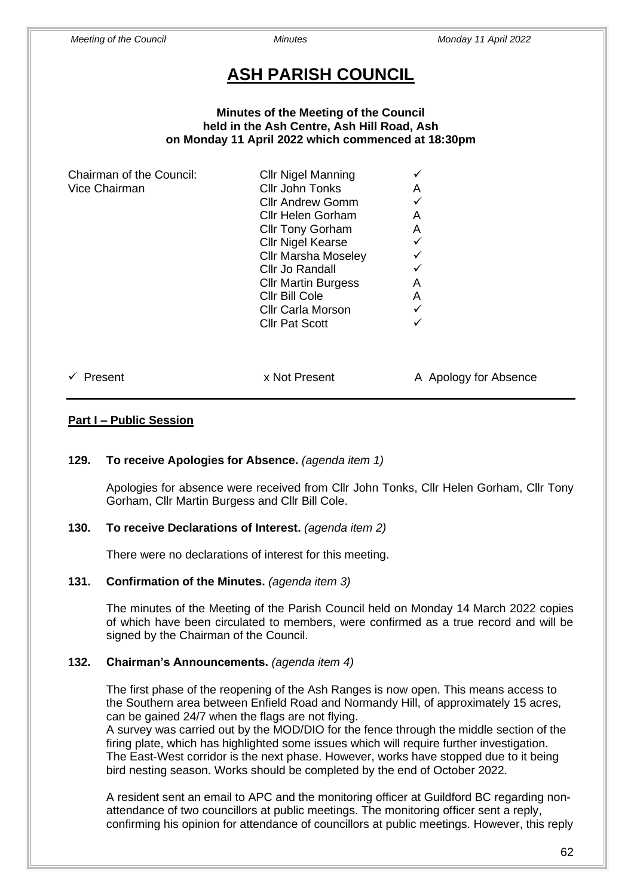# **ASH PARISH COUNCIL**

#### **Minutes of the Meeting of the Council held in the Ash Centre, Ash Hill Road, Ash on Monday 11 April 2022 which commenced at 18:30pm**

| Chairman of the Council: | <b>Cllr Nigel Manning</b>  |   |
|--------------------------|----------------------------|---|
| Vice Chairman            | Cllr John Tonks            | Α |
|                          | <b>Cllr Andrew Gomm</b>    |   |
|                          | Cllr Helen Gorham          | Α |
|                          | <b>Cllr Tony Gorham</b>    | A |
|                          | <b>Cllr Nigel Kearse</b>   |   |
|                          | <b>Cllr Marsha Moseley</b> |   |
|                          | Cllr Jo Randall            |   |
|                          | <b>Cllr Martin Burgess</b> | Α |
|                          | Cllr Bill Cole             | A |
|                          | <b>Cllr Carla Morson</b>   |   |
|                          | <b>Cllr Pat Scott</b>      |   |
|                          |                            |   |
|                          |                            |   |
|                          |                            |   |

# ✓ Present x Not Present A Apology for Absence

# **Part I – Public Session**

#### **129. To receive Apologies for Absence.** *(agenda item 1)*

Apologies for absence were received from Cllr John Tonks, Cllr Helen Gorham, Cllr Tony Gorham, Cllr Martin Burgess and Cllr Bill Cole.

#### **130. To receive Declarations of Interest.** *(agenda item 2)*

There were no declarations of interest for this meeting.

#### **131. Confirmation of the Minutes.** *(agenda item 3)*

The minutes of the Meeting of the Parish Council held on Monday 14 March 2022 copies of which have been circulated to members, were confirmed as a true record and will be signed by the Chairman of the Council.

#### **132. Chairman's Announcements.** *(agenda item 4)*

The first phase of the reopening of the Ash Ranges is now open. This means access to the Southern area between Enfield Road and Normandy Hill, of approximately 15 acres, can be gained 24/7 when the flags are not flying.

A survey was carried out by the MOD/DIO for the fence through the middle section of the firing plate, which has highlighted some issues which will require further investigation. The East-West corridor is the next phase. However, works have stopped due to it being bird nesting season. Works should be completed by the end of October 2022.

A resident sent an email to APC and the monitoring officer at Guildford BC regarding nonattendance of two councillors at public meetings. The monitoring officer sent a reply, confirming his opinion for attendance of councillors at public meetings. However, this reply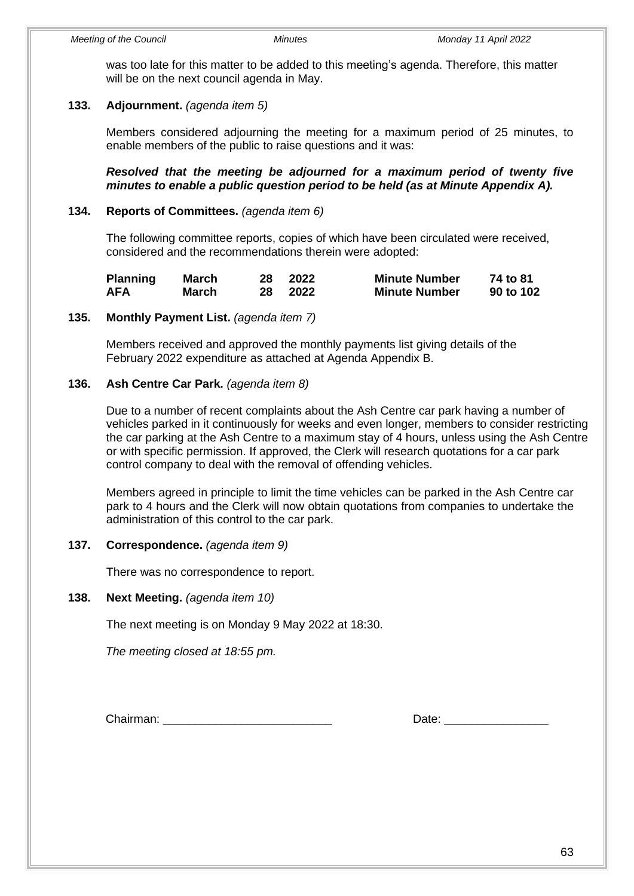was too late for this matter to be added to this meeting's agenda. Therefore, this matter will be on the next council agenda in May.

### **133. Adjournment.** *(agenda item 5)*

Members considered adjourning the meeting for a maximum period of 25 minutes, to enable members of the public to raise questions and it was:

*Resolved that the meeting be adjourned for a maximum period of twenty five minutes to enable a public question period to be held (as at Minute Appendix A).*

#### **134. Reports of Committees.** *(agenda item 6)*

The following committee reports, copies of which have been circulated were received, considered and the recommendations therein were adopted:

| <b>Planning</b> | March | 28 | 2022 | <b>Minute Number</b> | 74 to 81  |
|-----------------|-------|----|------|----------------------|-----------|
| AFA             | March | 28 | 2022 | <b>Minute Number</b> | 90 to 102 |

#### **135. Monthly Payment List.** *(agenda item 7)*

Members received and approved the monthly payments list giving details of the February 2022 expenditure as attached at Agenda Appendix B.

#### **136. Ash Centre Car Park.** *(agenda item 8)*

Due to a number of recent complaints about the Ash Centre car park having a number of vehicles parked in it continuously for weeks and even longer, members to consider restricting the car parking at the Ash Centre to a maximum stay of 4 hours, unless using the Ash Centre or with specific permission. If approved, the Clerk will research quotations for a car park control company to deal with the removal of offending vehicles.

Members agreed in principle to limit the time vehicles can be parked in the Ash Centre car park to 4 hours and the Clerk will now obtain quotations from companies to undertake the administration of this control to the car park.

#### **137. Correspondence.** *(agenda item 9)*

There was no correspondence to report.

#### **138. Next Meeting.** *(agenda item 10)*

The next meeting is on Monday 9 May 2022 at 18:30.

*The meeting closed at 18:55 pm.*

Chairman: **Example 20** and the control of the control of the control of the control of the control of the control of the control of the control of the control of the control of the control of the control of the control of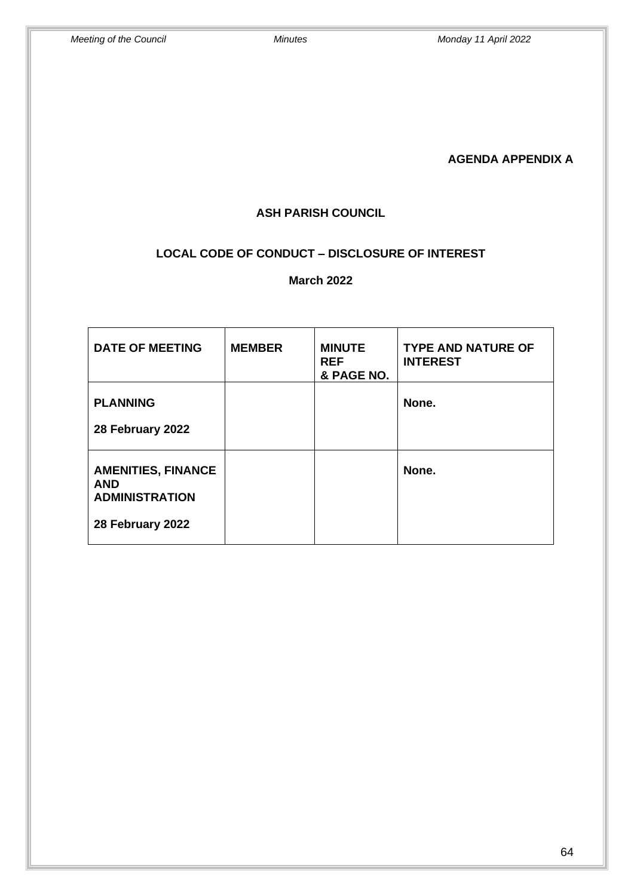**AGENDA APPENDIX A** 

### **ASH PARISH COUNCIL**

## **LOCAL CODE OF CONDUCT – DISCLOSURE OF INTEREST**

**March 2022** 

| <b>DATE OF MEETING</b>                                                               | <b>MEMBER</b> | <b>MINUTE</b><br><b>REF</b><br>& PAGE NO. | <b>TYPE AND NATURE OF</b><br><b>INTEREST</b> |
|--------------------------------------------------------------------------------------|---------------|-------------------------------------------|----------------------------------------------|
| <b>PLANNING</b><br>28 February 2022                                                  |               |                                           | None.                                        |
| <b>AMENITIES, FINANCE</b><br><b>AND</b><br><b>ADMINISTRATION</b><br>28 February 2022 |               |                                           | None.                                        |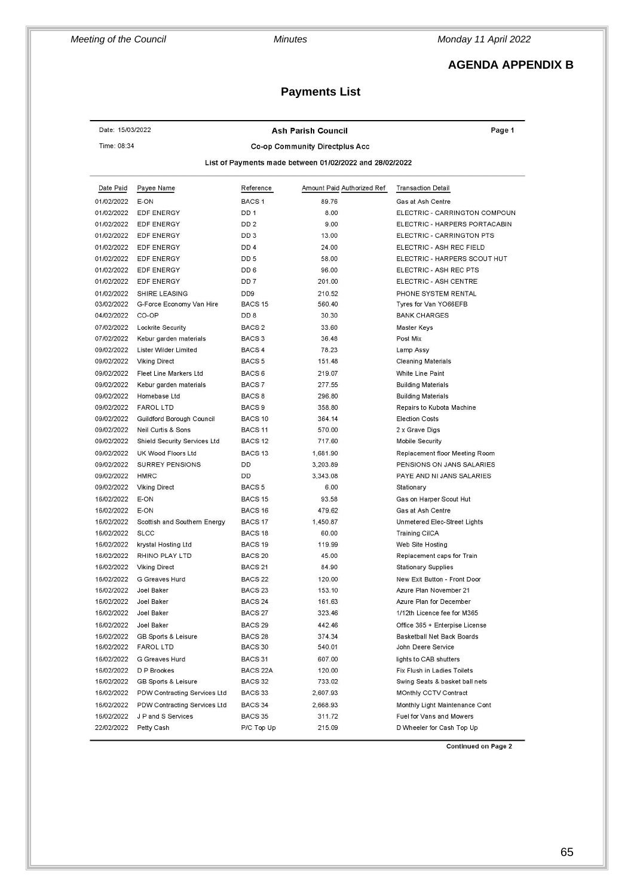*Meeting of the Council Minutes Monday 11 April 2022*

## **AGENDA APPENDIX B**

## **Payments List**

| Date: 15/03/2022                                        |                              | Page 1             |                            |                                |  |
|---------------------------------------------------------|------------------------------|--------------------|----------------------------|--------------------------------|--|
| Time: 08:34<br>Co-op Community Directplus Acc           |                              |                    |                            |                                |  |
| List of Payments made between 01/02/2022 and 28/02/2022 |                              |                    |                            |                                |  |
| Date Paid                                               | Payee Name                   | Reference          | Amount Paid Authorized Ref | <b>Transaction Detail</b>      |  |
| 01/02/2022                                              | E-ON                         | BACS <sub>1</sub>  | 89.76                      | Gas at Ash Centre              |  |
| 01/02/2022                                              | <b>EDF ENERGY</b>            | DD <sub>1</sub>    | 8.00                       | ELECTRIC - CARRINGTON COMPOUN  |  |
| 01/02/2022                                              | <b>EDF ENERGY</b>            | DD <sub>2</sub>    | 9.00                       | ELECTRIC - HARPERS PORTACABIN  |  |
| 01/02/2022                                              | EDF ENERGY                   | DD <sub>3</sub>    | 13.00                      | ELECTRIC - CARRINGTON PTS      |  |
| 01/02/2022                                              | EDF ENERGY                   | DD <sub>4</sub>    | 24.00                      | ELECTRIC - ASH REC FIELD       |  |
| 01/02/2022                                              | <b>EDF ENERGY</b>            | DD <sub>5</sub>    | 58.00                      | ELECTRIC - HARPERS SCOUT HUT   |  |
| 01/02/2022                                              | EDF ENERGY                   | DD 6               | 96.00                      | ELECTRIC - ASH REC PTS         |  |
| 01/02/2022                                              | <b>EDF ENERGY</b>            | DD <sub>7</sub>    | 201.00                     | ELECTRIC - ASH CENTRE          |  |
| 01/02/2022                                              | SHIRE LEASING                | DD <sub>9</sub>    | 210.52                     | PHONE SYSTEM RENTAL            |  |
| 03/02/2022                                              | G-Force Economy Van Hire     | BACS <sub>15</sub> | 560.40                     | Tyres for Van YO66EFB          |  |
| 04/02/2022                                              | CO-OP                        | DD <sub>8</sub>    | 30.30                      | <b>BANK CHARGES</b>            |  |
| 07/02/2022                                              | Lockrite Security            | BACS <sub>2</sub>  | 33.60                      | Master Keys                    |  |
| 07/02/2022                                              | Kebur garden materials       | BACS <sub>3</sub>  | 36.48                      | Post Mix                       |  |
| 09/02/2022                                              | Lister Wilder Limited        | BACS 4             | 78.23                      | Lamp Assy                      |  |
| 09/02/2022                                              | <b>Viking Direct</b>         | BACS <sub>5</sub>  | 151.48                     | <b>Cleaning Materials</b>      |  |
| 09/02/2022                                              | Fleet Line Markers Ltd       | BACS <sub>6</sub>  | 219.07                     | White Line Paint               |  |
| 09/02/2022                                              | Kebur garden materials       | BACS 7             | 277.55                     | <b>Building Materials</b>      |  |
| 09/02/2022                                              | Homebase Ltd                 | BACS <sub>8</sub>  | 296.80                     | <b>Building Materials</b>      |  |
| 09/02/2022                                              | <b>FAROL LTD</b>             | BACS <sub>9</sub>  | 358.80                     | Repairs to Kubota Machine      |  |
| 09/02/2022                                              | Guildford Borough Council    | BACS <sub>10</sub> | 364.14                     | <b>Election Costs</b>          |  |
| 09/02/2022                                              | Neil Curtis & Sons           | BACS <sub>11</sub> | 570.00                     | 2 x Grave Digs                 |  |
| 09/02/2022                                              | Shield Security Services Ltd | BACS <sub>12</sub> | 717.60                     | Mobile Security                |  |
| 09/02/2022                                              | UK Wood Floors Ltd           | BACS <sub>13</sub> | 1,681.90                   | Replacement floor Meeting Room |  |
| 09/02/2022                                              | <b>SURREY PENSIONS</b>       | DD                 | 3,203.89                   | PENSIONS ON JANS SALARIES      |  |
| 09/02/2022                                              | <b>HMRC</b>                  | DD                 | 3,343.08                   | PAYE AND NI JANS SALARIES      |  |
| 09/02/2022                                              | <b>Viking Direct</b>         | BACS <sub>5</sub>  | 6.00                       | Stationary                     |  |
| 16/02/2022                                              | E-ON                         | BACS <sub>15</sub> | 93.58                      | Gas on Harper Scout Hut        |  |
| 16/02/2022                                              | E-ON                         | BACS 16            | 479.62                     | Gas at Ash Centre              |  |
| 16/02/2022                                              | Scottish and Southern Energy | BACS 17            | 1,450.87                   | Unmetered Elec-Street Lights   |  |
| 16/02/2022                                              | <b>SLCC</b>                  | BACS <sub>18</sub> | 60.00                      | <b>Training CilCA</b>          |  |
| 16/02/2022                                              | krystal Hosting Ltd          | BACS <sub>19</sub> | 119.99                     | Web Site Hosting               |  |
| 16/02/2022                                              | RHINO PLAY LTD               | BACS <sub>20</sub> | 45.00                      | Replacement caps for Train     |  |
| 16/02/2022                                              | <b>Viking Direct</b>         | BACS <sub>21</sub> | 84.90                      | <b>Stationary Supplies</b>     |  |
| 16/02/2022                                              | G Greaves Hurd               | BACS <sub>22</sub> | 120.00                     | New Exit Button - Front Door   |  |
| 16/02/2022                                              | <b>Joel Baker</b>            | BACS <sub>23</sub> | 153.10                     | Azure Plan November 21         |  |
| 16/02/2022                                              | Joel Baker                   | BACS 24            | 161.63                     | Azure Plan for December        |  |
| 16/02/2022                                              | Joel Baker                   | BACS 27            | 323.46                     | 1/12th Licence fee for M365    |  |
| 16/02/2022                                              | Joel Baker                   | BACS <sub>29</sub> | 442.46                     | Office 365 + Enterpise License |  |
| 16/02/2022                                              | GB Sports & Leisure          | BACS <sub>28</sub> | 374.34                     | Basketball Net Back Boards     |  |
| 16/02/2022                                              | <b>FAROL LTD</b>             | BACS 30            | 540.01                     | John Deere Service             |  |
| 16/02/2022                                              | G Greaves Hurd               | BACS 31            | 607.00                     | lights to CAB shutters         |  |
| 16/02/2022                                              | D P Brookes                  | BACS 22A           | 120.00                     | Fix Flush in Ladies Toilets    |  |
| 16/02/2022                                              | GB Sports & Leisure          | BACS 32            | 733.02                     | Swing Seats & basket ball nets |  |
| 16/02/2022                                              | PDW Contracting Services Ltd | BACS 33            | 2,607.93                   | MOnthly CCTV Contract          |  |
| 16/02/2022                                              | PDW Contracting Services Ltd | BACS 34            | 2,668.93                   | Monthly Light Maintenance Cont |  |
| 16/02/2022                                              | J P and S Services           | <b>BACS 35</b>     | 311.72                     | Fuel for Vans and Mowers       |  |
| 22/02/2022                                              | Petty Cash                   | P/C Top Up         | 215.09                     | D Wheeler for Cash Top Up      |  |
|                                                         |                              |                    |                            |                                |  |

**Continued on Page 2**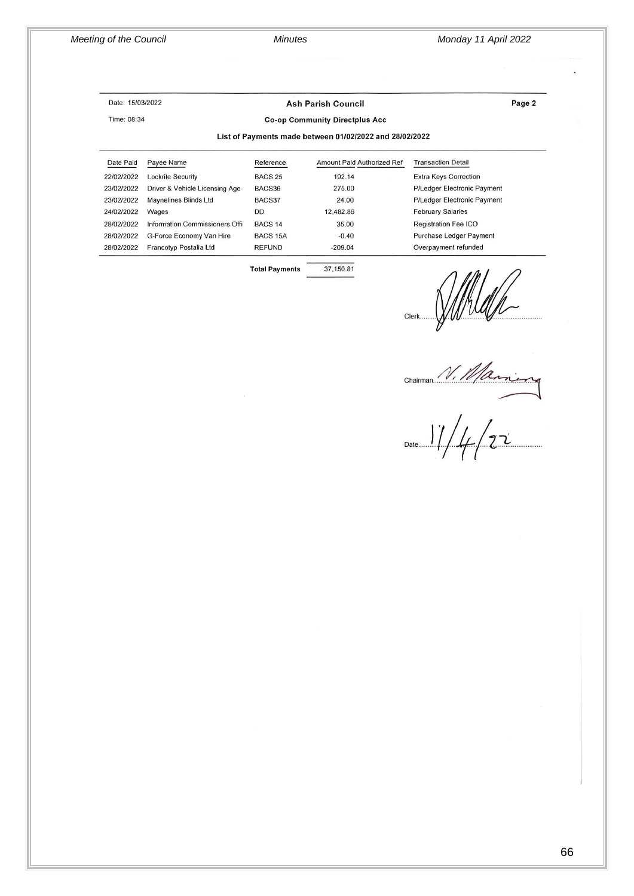*Meeting of the Council Minutes Monday 11 April 2022*

#### Date: 15/03/2022

Time: 08:34

**Ash Parish Council** 

Page 2

#### **Co-op Community Directplus Acc**

#### List of Payments made between 01/02/2022 and 28/02/2022

| Date Paid  | Payee Name                     | Reference          | Amount Paid Authorized Ref | <b>Transaction Detail</b>      |
|------------|--------------------------------|--------------------|----------------------------|--------------------------------|
| 22/02/2022 | <b>Lockrite Security</b>       | <b>BACS 25</b>     | 192.14                     | <b>Extra Keys Correction</b>   |
| 23/02/2022 | Driver & Vehicle Licensing Age | BACS36             | 275.00                     | P/Ledger Electronic Payment    |
| 23/02/2022 | Maynelines Blinds Ltd          | BACS37             | 24.00                      | P/Ledger Electronic Payment    |
| 24/02/2022 | Wages                          | DD                 | 12.482.86                  | <b>February Salaries</b>       |
| 28/02/2022 | Information Commissioners Offi | BACS <sub>14</sub> | 35.00                      | <b>Registration Fee ICO</b>    |
| 28/02/2022 | G-Force Economy Van Hire       | <b>BACS 15A</b>    | $-0.40$                    | <b>Purchase Ledger Payment</b> |
| 28/02/2022 | Francotyp Postalia Ltd         | <b>REFUND</b>      | $-209.04$                  | Overpayment refunded           |
|            |                                |                    |                            |                                |

37,150.81

**Total Payments** 

Clerk Willelle<br>Chairman V. Marine